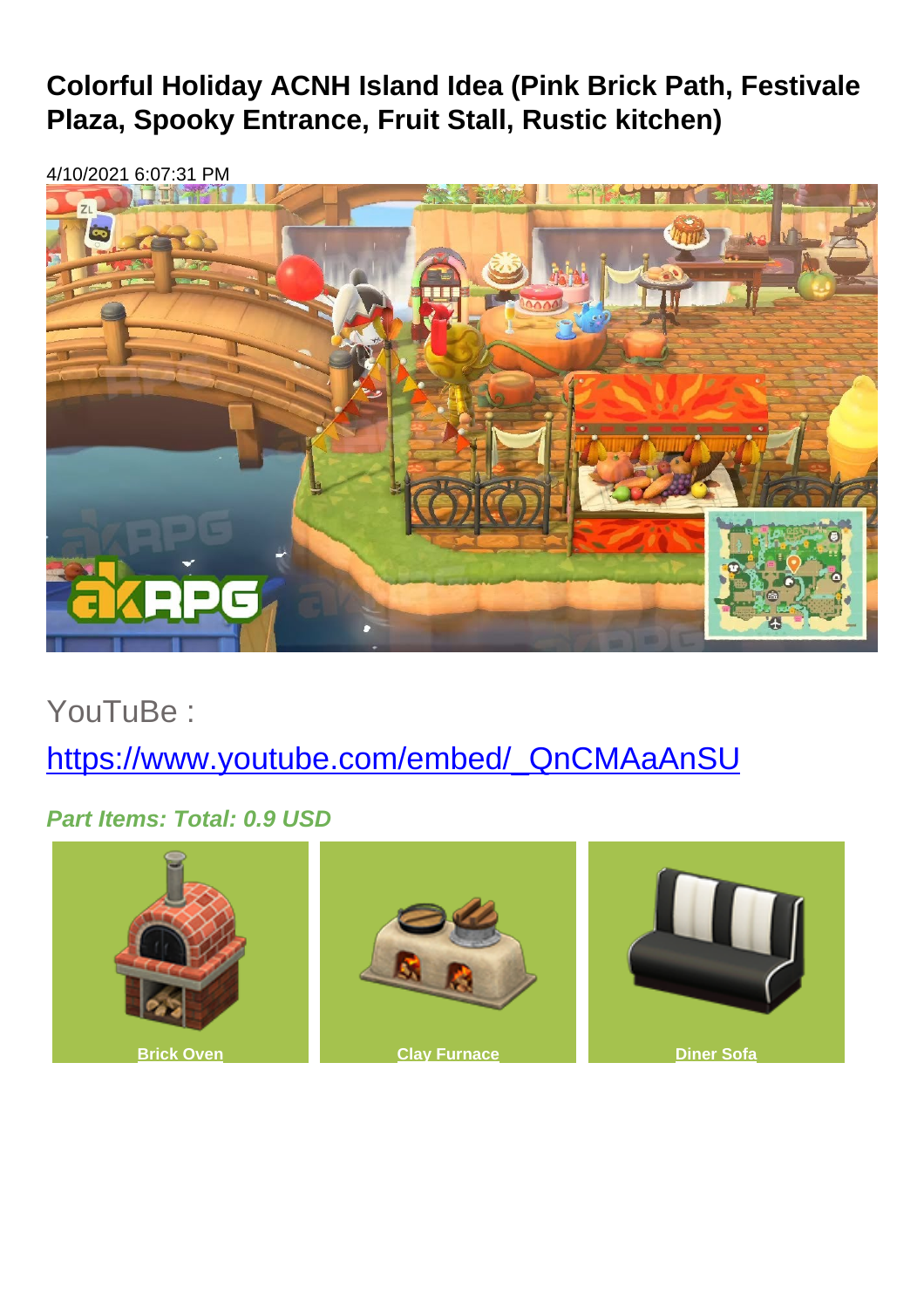## **Colorful Holiday ACNH Island Idea (Pink Brick Path, Festivale Plaza, Spooky Entrance, Fruit Stall, Rustic kitchen)**

4/10/2021 6:07:31 PM



YouTuBe :

[https://www.youtube.com/embed/\\_QnCMAaAnSU](https://www.youtube.com/embed/_QnCMAaAnSU)

**Part Items: Total: 0.9 USD**